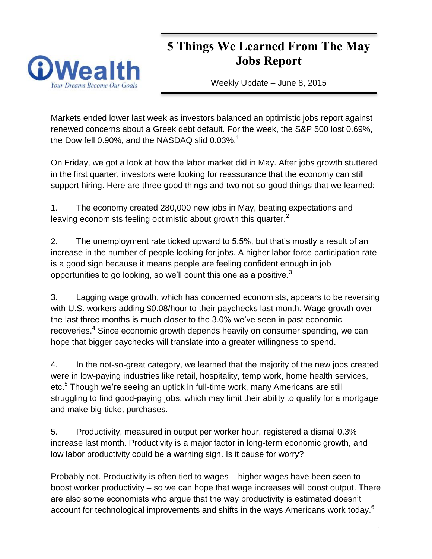# **Wea**

# **5 Things We Learned From The May Jobs Report**

Weekly Update – June 8, 2015

Markets ended lower last week as investors balanced an optimistic jobs report against renewed concerns about a Greek debt default. For the week, the S&P 500 lost 0.69%, the Dow fell 0.90%, and the NASDAQ slid  $0.03\%$ <sup>1</sup>

On Friday, we got a look at how the labor market did in May. After jobs growth stuttered in the first quarter, investors were looking for reassurance that the economy can still support hiring. Here are three good things and two not-so-good things that we learned:

1. The economy created 280,000 new jobs in May, beating expectations and leaving economists feeling optimistic about growth this quarter.<sup>2</sup>

2. The unemployment rate ticked upward to 5.5%, but that's mostly a result of an increase in the number of people looking for jobs. A higher labor force participation rate is a good sign because it means people are feeling confident enough in job opportunities to go looking, so we'll count this one as a positive. $3$ 

3. Lagging wage growth, which has concerned economists, appears to be reversing with U.S. workers adding \$0.08/hour to their paychecks last month. Wage growth over the last three months is much closer to the 3.0% we've seen in past economic recoveries.<sup>4</sup> Since economic growth depends heavily on consumer spending, we can hope that bigger paychecks will translate into a greater willingness to spend.

4. In the not-so-great category, we learned that the majority of the new jobs created were in low-paying industries like retail, hospitality, temp work, home health services, etc.<sup>5</sup> Though we're seeing an uptick in full-time work, many Americans are still struggling to find good-paying jobs, which may limit their ability to qualify for a mortgage and make big-ticket purchases.

5. Productivity, measured in output per worker hour, registered a dismal 0.3% increase last month. Productivity is a major factor in long-term economic growth, and low labor productivity could be a warning sign. Is it cause for worry?

Probably not. Productivity is often tied to wages – higher wages have been seen to boost worker productivity – so we can hope that wage increases will boost output. There are also some economists who argue that the way productivity is estimated doesn't account for technological improvements and shifts in the ways Americans work today. $^6$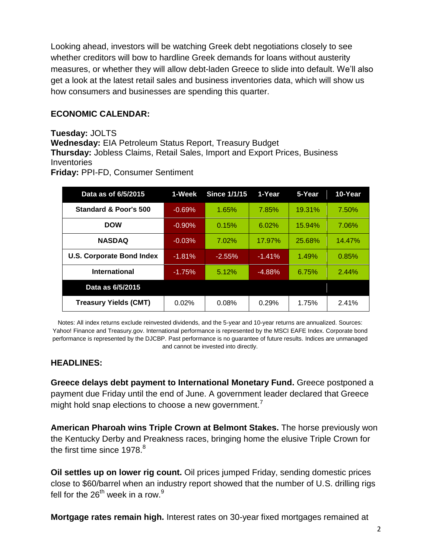Looking ahead, investors will be watching Greek debt negotiations closely to see whether creditors will bow to hardline Greek demands for loans without austerity measures, or whether they will allow debt-laden Greece to slide into default. We'll also get a look at the latest retail sales and business inventories data, which will show us how consumers and businesses are spending this quarter.

#### **ECONOMIC CALENDAR:**

**Tuesday:** JOLTS **Wednesday:** EIA Petroleum Status Report, Treasury Budget **Thursday:** Jobless Claims, Retail Sales, Import and Export Prices, Business Inventories **Friday:** PPI-FD, Consumer Sentiment

| Data as of 6/5/2015              | 1-Week    | <b>Since 1/1/15</b> | 1-Year   | 5-Year | 10-Year |
|----------------------------------|-----------|---------------------|----------|--------|---------|
| Standard & Poor's 500            | $-0.69%$  | 1.65%               | 7.85%    | 19.31% | 7.50%   |
| <b>DOW</b>                       | $-0.90\%$ | 0.15%               | 6.02%    | 15.94% | 7.06%   |
| <b>NASDAQ</b>                    | $-0.03%$  | 7.02%               | 17.97%   | 25.68% | 14.47%  |
| <b>U.S. Corporate Bond Index</b> | $-1.81\%$ | $-2.55\%$           | $-1.41%$ | 1.49%  | 0.85%   |
| International                    | $-1.75%$  | 5.12%               | $-4.88%$ | 6.75%  | 2.44%   |
| Data as 6/5/2015                 |           |                     |          |        |         |
| <b>Treasury Yields (CMT)</b>     | 0.02%     | 0.08%               | 0.29%    | 1.75%  | 2.41%   |

Notes: All index returns exclude reinvested dividends, and the 5-year and 10-year returns are annualized. Sources: Yahoo! Finance and [Treasury.gov.](http://treasury.gov/) International performance is represented by the MSCI EAFE Index. Corporate bond performance is represented by the DJCBP. Past performance is no guarantee of future results. Indices are unmanaged and cannot be invested into directly.

#### **HEADLINES:**

**Greece delays debt payment to International Monetary Fund.** Greece postponed a payment due Friday until the end of June. A government leader declared that Greece might hold snap elections to choose a new government.<sup>7</sup>

**American Pharoah wins Triple Crown at Belmont Stakes.** The horse previously won the Kentucky Derby and Preakness races, bringing home the elusive Triple Crown for the first time since  $1978.<sup>8</sup>$ 

**Oil settles up on lower rig count.** Oil prices jumped Friday, sending domestic prices close to \$60/barrel when an industry report showed that the number of U.S. drilling rigs fell for the  $26^{th}$  week in a row.<sup>9</sup>

**Mortgage rates remain high.** Interest rates on 30-year fixed mortgages remained at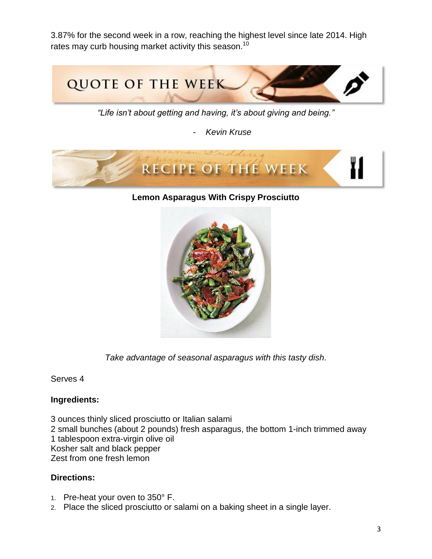3.87% for the second week in a row, reaching the highest level since late 2014. High rates may curb housing market activity this season.<sup>10</sup>



*"Life isn't about getting and having, it's about giving and being."*

- *Kevin Kruse*



#### **Lemon Asparagus With Crispy Prosciutto**



*Take advantage of seasonal asparagus with this tasty dish.*

#### Serves 4

#### **Ingredients:**

3 ounces thinly sliced prosciutto or Italian salami 2 small bunches (about 2 pounds) fresh asparagus, the bottom 1-inch trimmed away 1 tablespoon extra-virgin olive oil Kosher salt and black pepper Zest from one fresh lemon

#### **Directions:**

- 1. Pre-heat your oven to 350° F.
- 2. Place the sliced prosciutto or salami on a baking sheet in a single layer.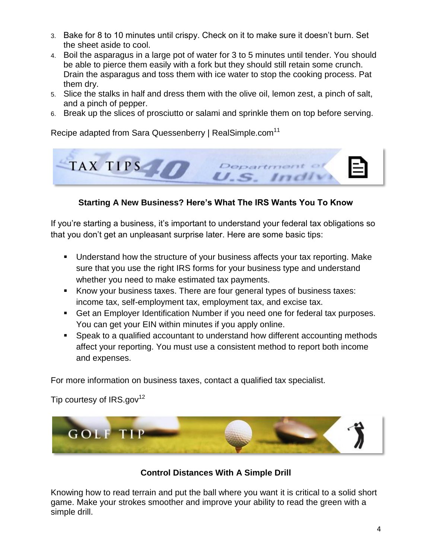- 3. Bake for 8 to 10 minutes until crispy. Check on it to make sure it doesn't burn. Set the sheet aside to cool.
- 4. Boil the asparagus in a large pot of water for 3 to 5 minutes until tender. You should be able to pierce them easily with a fork but they should still retain some crunch. Drain the asparagus and toss them with ice water to stop the cooking process. Pat them dry.
- 5. Slice the stalks in half and dress them with the olive oil, lemon zest, a pinch of salt, and a pinch of pepper.
- 6. Break up the slices of prosciutto or salami and sprinkle them on top before serving.

Recipe adapted from Sara Quessenberry | RealSimple.com<sup>11</sup>



# **Starting A New Business? Here's What The IRS Wants You To Know**

If you're starting a business, it's important to understand your federal tax obligations so that you don't get an unpleasant surprise later. Here are some basic tips:

- Understand how the structure of your business affects your tax reporting. Make sure that you use the right IRS forms for your business type and understand whether you need to make estimated tax payments.
- Know your business taxes. There are four general types of business taxes: income tax, self-employment tax, employment tax, and excise tax.
- Get an Employer Identification Number if you need one for federal tax purposes. You can get your EIN within minutes if you apply online.
- Speak to a qualified accountant to understand how different accounting methods affect your reporting. You must use a consistent method to report both income and expenses.

For more information on business taxes, contact a qualified tax specialist.

Tip courtesy of  $IRS.gov^{12}$ 



# **Control Distances With A Simple Drill**

Knowing how to read terrain and put the ball where you want it is critical to a solid short game. Make your strokes smoother and improve your ability to read the green with a simple drill.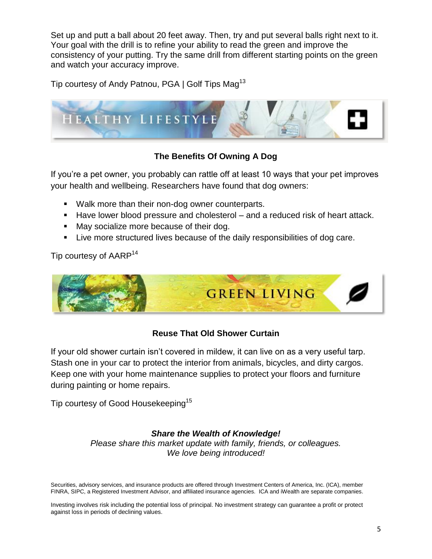Set up and putt a ball about 20 feet away. Then, try and put several balls right next to it. Your goal with the drill is to refine your ability to read the green and improve the consistency of your putting. Try the same drill from different starting points on the green and watch your accuracy improve.

Tip courtesy of Andy Patnou, PGA | Golf Tips Mag<sup>13</sup>



# **The Benefits Of Owning A Dog**

If you're a pet owner, you probably can rattle off at least 10 ways that your pet improves your health and wellbeing. Researchers have found that dog owners:

- **Walk more than their non-dog owner counterparts.**
- Have lower blood pressure and cholesterol and a reduced risk of heart attack.
- May socialize more because of their dog.
- Live more structured lives because of the daily responsibilities of dog care.

Tip courtesy of AARP<sup>14</sup>



# **Reuse That Old Shower Curtain**

If your old shower curtain isn't covered in mildew, it can live on as a very useful tarp. Stash one in your car to protect the interior from animals, bicycles, and dirty cargos. Keep one with your home maintenance supplies to protect your floors and furniture during painting or home repairs.

Tip courtesy of Good Housekeeping<sup>15</sup>

# *Share the Wealth of Knowledge!*

*Please share this market update with family, friends, or colleagues. We love being introduced!*

Securities, advisory services, and insurance products are offered through Investment Centers of America, Inc. (ICA), member FINRA, SIPC, a Registered Investment Advisor, and affiliated insurance agencies. ICA and iWealth are separate companies.

Investing involves risk including the potential loss of principal. No investment strategy can guarantee a profit or protect against loss in periods of declining values.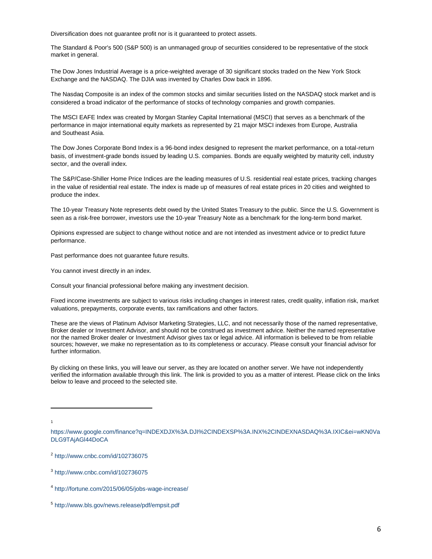Diversification does not guarantee profit nor is it guaranteed to protect assets.

The Standard & Poor's 500 (S&P 500) is an unmanaged group of securities considered to be representative of the stock market in general.

The Dow Jones Industrial Average is a price-weighted average of 30 significant stocks traded on the New York Stock Exchange and the NASDAQ. The DJIA was invented by Charles Dow back in 1896.

The Nasdaq Composite is an index of the common stocks and similar securities listed on the NASDAQ stock market and is considered a broad indicator of the performance of stocks of technology companies and growth companies.

The MSCI EAFE Index was created by Morgan Stanley Capital International (MSCI) that serves as a benchmark of the performance in major international equity markets as represented by 21 major MSCI indexes from Europe, Australia and Southeast Asia.

The Dow Jones Corporate Bond Index is a 96-bond index designed to represent the market performance, on a total-return basis, of investment-grade bonds issued by leading U.S. companies. Bonds are equally weighted by maturity cell, industry sector, and the overall index.

The S&P/Case-Shiller Home Price Indices are the leading measures of U.S. residential real estate prices, tracking changes in the value of residential real estate. The index is made up of measures of real estate prices in 20 cities and weighted to produce the index.

The 10-year Treasury Note represents debt owed by the United States Treasury to the public. Since the U.S. Government is seen as a risk-free borrower, investors use the 10-year Treasury Note as a benchmark for the long-term bond market.

Opinions expressed are subject to change without notice and are not intended as investment advice or to predict future performance.

Past performance does not guarantee future results.

You cannot invest directly in an index.

Consult your financial professional before making any investment decision.

Fixed income investments are subject to various risks including changes in interest rates, credit quality, inflation risk, market valuations, prepayments, corporate events, tax ramifications and other factors.

These are the views of Platinum Advisor Marketing Strategies, LLC, and not necessarily those of the named representative, Broker dealer or Investment Advisor, and should not be construed as investment advice. Neither the named representative nor the named Broker dealer or Investment Advisor gives tax or legal advice. All information is believed to be from reliable sources; however, we make no representation as to its completeness or accuracy. Please consult your financial advisor for further information.

By clicking on these links, you will leave our server, as they are located on another server. We have not independently verified the information available through this link. The link is provided to you as a matter of interest. Please click on the links below to leave and proceed to the selected site.

l 1

[https://www.google.com/finance?q=INDEXDJX%3A.DJI%2CINDEXSP%3A.INX%2CINDEXNASDAQ%3A.IXIC&ei=wKN0Va](https://www.google.com/finance?q=INDEXDJX%3A.DJI%2CINDEXSP%3A.INX%2CINDEXNASDAQ%3A.IXIC&ei=wKN0VaDLG9TAjAGl44DoCA) [DLG9TAjAGl44DoCA](https://www.google.com/finance?q=INDEXDJX%3A.DJI%2CINDEXSP%3A.INX%2CINDEXNASDAQ%3A.IXIC&ei=wKN0VaDLG9TAjAGl44DoCA)

<sup>&</sup>lt;sup>2</sup> <http://www.cnbc.com/id/102736075>

<sup>3</sup> <http://www.cnbc.com/id/102736075>

<sup>4</sup> <http://fortune.com/2015/06/05/jobs-wage-increase/>

<sup>5</sup> <http://www.bls.gov/news.release/pdf/empsit.pdf>